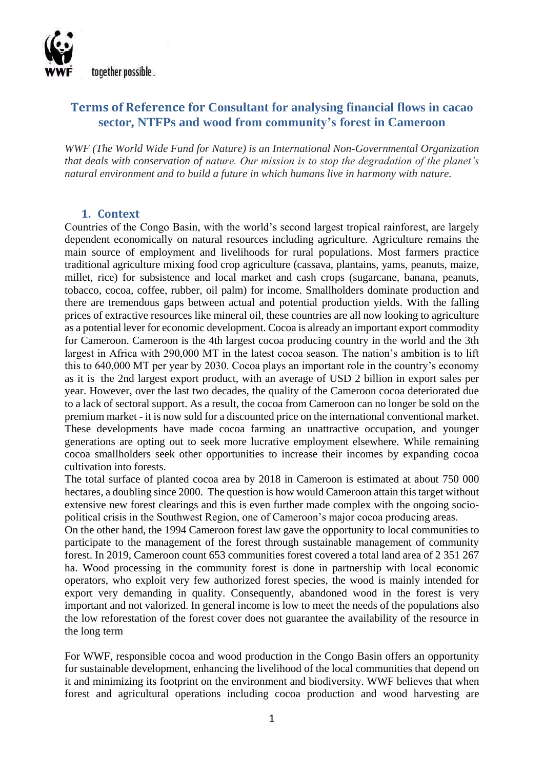

# **Terms of Reference for Consultant for analysing financial flows in cacao sector, NTFPs and wood from community's forest in Cameroon**

*WWF (The World Wide Fund for Nature) is an International Non-Governmental Organization that deals with conservation of nature. Our mission is to stop the degradation of the planet's natural environment and to build a future in which humans live in harmony with nature.*

#### **1. Context**

Countries of the Congo Basin, with the world's second largest tropical rainforest, are largely dependent economically on natural resources including agriculture. Agriculture remains the main source of employment and livelihoods for rural populations. Most farmers practice traditional agriculture mixing food crop agriculture (cassava, plantains, yams, peanuts, maize, millet, rice) for subsistence and local market and cash crops (sugarcane, banana, peanuts, tobacco, cocoa, coffee, rubber, oil palm) for income. Smallholders dominate production and there are tremendous gaps between actual and potential production yields. With the falling prices of extractive resources like mineral oil, these countries are all now looking to agriculture as a potential lever for economic development. Cocoa is already an important export commodity for Cameroon. Cameroon is the 4th largest cocoa producing country in the world and the 3th largest in Africa with 290,000 MT in the latest cocoa season. The nation's ambition is to lift this to 640,000 MT per year by 2030. Cocoa plays an important role in the country's economy as it is the 2nd largest export product, with an average of USD 2 billion in export sales per year. However, over the last two decades, the quality of the Cameroon cocoa deteriorated due to a lack of sectoral support. As a result, the cocoa from Cameroon can no longer be sold on the premium market - it is now sold for a discounted price on the international conventional market. These developments have made cocoa farming an unattractive occupation, and younger generations are opting out to seek more lucrative employment elsewhere. While remaining cocoa smallholders seek other opportunities to increase their incomes by expanding cocoa cultivation into forests.

The total surface of planted cocoa area by 2018 in Cameroon is estimated at about 750 000 hectares, a doubling since 2000. The question is how would Cameroon attain this target without extensive new forest clearings and this is even further made complex with the ongoing sociopolitical crisis in the Southwest Region, one of Cameroon's major cocoa producing areas.

On the other hand, the 1994 Cameroon forest law gave the opportunity to local communities to participate to the management of the forest through sustainable management of community forest. In 2019, Cameroon count 653 communities forest covered a total land area of 2 351 267 ha. Wood processing in the community forest is done in partnership with local economic operators, who exploit very few authorized forest species, the wood is mainly intended for export very demanding in quality. Consequently, abandoned wood in the forest is very important and not valorized. In general income is low to meet the needs of the populations also the low reforestation of the forest cover does not guarantee the availability of the resource in the long term

For WWF, responsible cocoa and wood production in the Congo Basin offers an opportunity for sustainable development, enhancing the livelihood of the local communities that depend on it and minimizing its footprint on the environment and biodiversity. WWF believes that when forest and agricultural operations including cocoa production and wood harvesting are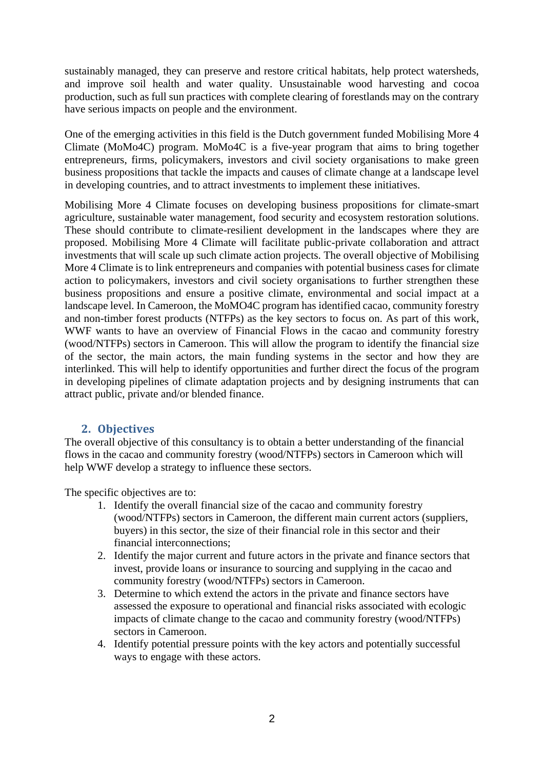sustainably managed, they can preserve and restore critical habitats, help protect watersheds, and improve soil health and water quality. Unsustainable wood harvesting and cocoa production, such as full sun practices with complete clearing of forestlands may on the contrary have serious impacts on people and the environment.

One of the emerging activities in this field is the Dutch government funded Mobilising More 4 Climate (MoMo4C) program. MoMo4C is a five-year program that aims to bring together entrepreneurs, firms, policymakers, investors and civil society organisations to make green business propositions that tackle the impacts and causes of climate change at a landscape level in developing countries, and to attract investments to implement these initiatives.

Mobilising More 4 Climate focuses on developing business propositions for climate-smart agriculture, sustainable water management, food security and ecosystem restoration solutions. These should contribute to climate-resilient development in the landscapes where they are proposed. Mobilising More 4 Climate will facilitate public-private collaboration and attract investments that will scale up such climate action projects. The overall objective of Mobilising More 4 Climate is to link entrepreneurs and companies with potential business cases for climate action to policymakers, investors and civil society organisations to further strengthen these business propositions and ensure a positive climate, environmental and social impact at a landscape level. In Cameroon, the MoMO4C program has identified cacao, community forestry and non-timber forest products (NTFPs) as the key sectors to focus on. As part of this work, WWF wants to have an overview of Financial Flows in the cacao and community forestry (wood/NTFPs) sectors in Cameroon. This will allow the program to identify the financial size of the sector, the main actors, the main funding systems in the sector and how they are interlinked. This will help to identify opportunities and further direct the focus of the program in developing pipelines of climate adaptation projects and by designing instruments that can attract public, private and/or blended finance.

#### **2. Objectives**

The overall objective of this consultancy is to obtain a better understanding of the financial flows in the cacao and community forestry (wood/NTFPs) sectors in Cameroon which will help WWF develop a strategy to influence these sectors.

The specific objectives are to:

- 1. Identify the overall financial size of the cacao and community forestry (wood/NTFPs) sectors in Cameroon, the different main current actors (suppliers, buyers) in this sector, the size of their financial role in this sector and their financial interconnections;
- 2. Identify the major current and future actors in the private and finance sectors that invest, provide loans or insurance to sourcing and supplying in the cacao and community forestry (wood/NTFPs) sectors in Cameroon.
- 3. Determine to which extend the actors in the private and finance sectors have assessed the exposure to operational and financial risks associated with ecologic impacts of climate change to the cacao and community forestry (wood/NTFPs) sectors in Cameroon.
- 4. Identify potential pressure points with the key actors and potentially successful ways to engage with these actors.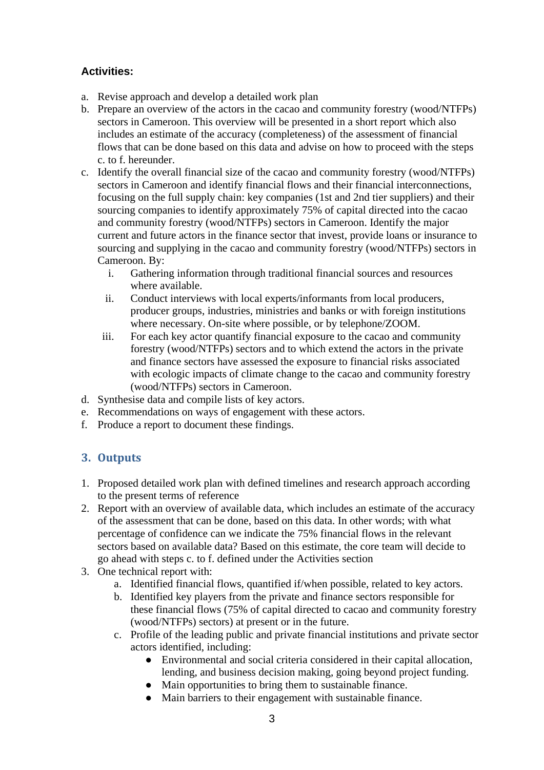# **Activities:**

- a. Revise approach and develop a detailed work plan
- b. Prepare an overview of the actors in the cacao and community forestry (wood/NTFPs) sectors in Cameroon. This overview will be presented in a short report which also includes an estimate of the accuracy (completeness) of the assessment of financial flows that can be done based on this data and advise on how to proceed with the steps c. to f. hereunder.
- c. Identify the overall financial size of the cacao and community forestry (wood/NTFPs) sectors in Cameroon and identify financial flows and their financial interconnections, focusing on the full supply chain: key companies (1st and 2nd tier suppliers) and their sourcing companies to identify approximately 75% of capital directed into the cacao and community forestry (wood/NTFPs) sectors in Cameroon. Identify the major current and future actors in the finance sector that invest, provide loans or insurance to sourcing and supplying in the cacao and community forestry (wood/NTFPs) sectors in Cameroon. By:
	- i. Gathering information through traditional financial sources and resources where available.
	- ii. Conduct interviews with local experts/informants from local producers, producer groups, industries, ministries and banks or with foreign institutions where necessary. On-site where possible, or by telephone/ZOOM.
	- iii. For each key actor quantify financial exposure to the cacao and community forestry (wood/NTFPs) sectors and to which extend the actors in the private and finance sectors have assessed the exposure to financial risks associated with ecologic impacts of climate change to the cacao and community forestry (wood/NTFPs) sectors in Cameroon.
- d. Synthesise data and compile lists of key actors.
- e. Recommendations on ways of engagement with these actors.
- f. Produce a report to document these findings.

# **3. Outputs**

- 1. Proposed detailed work plan with defined timelines and research approach according to the present terms of reference
- 2. Report with an overview of available data, which includes an estimate of the accuracy of the assessment that can be done, based on this data. In other words; with what percentage of confidence can we indicate the 75% financial flows in the relevant sectors based on available data? Based on this estimate, the core team will decide to go ahead with steps c. to f. defined under the Activities section
- 3. One technical report with:
	- a. Identified financial flows, quantified if/when possible, related to key actors.
	- b. Identified key players from the private and finance sectors responsible for these financial flows (75% of capital directed to cacao and community forestry (wood/NTFPs) sectors) at present or in the future.
	- c. Profile of the leading public and private financial institutions and private sector actors identified, including:
		- Environmental and social criteria considered in their capital allocation, lending, and business decision making, going beyond project funding.
		- Main opportunities to bring them to sustainable finance.
		- Main barriers to their engagement with sustainable finance.